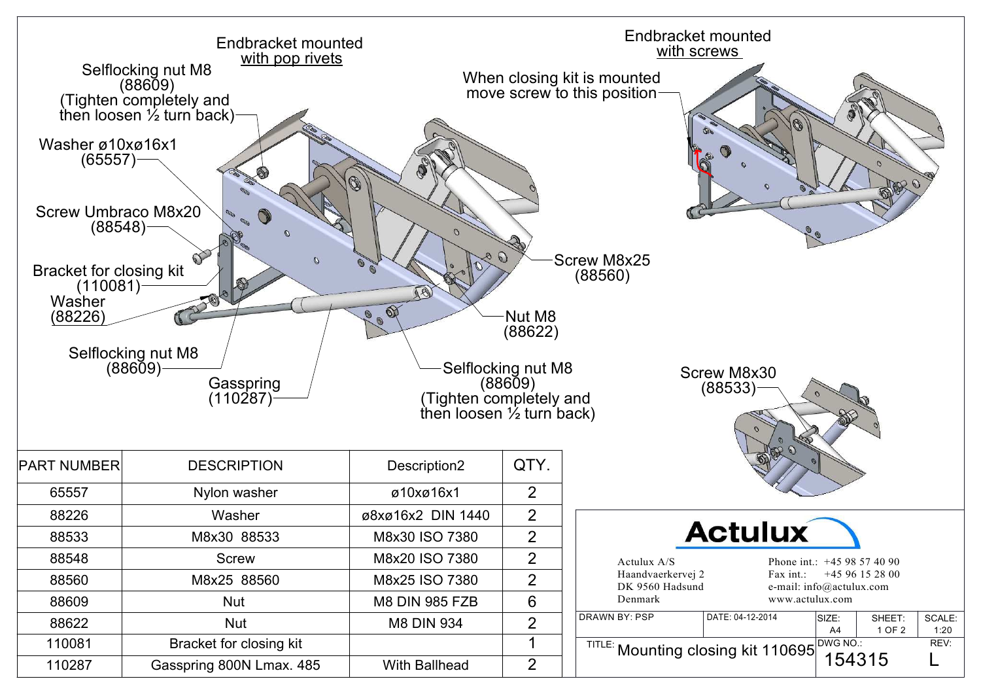